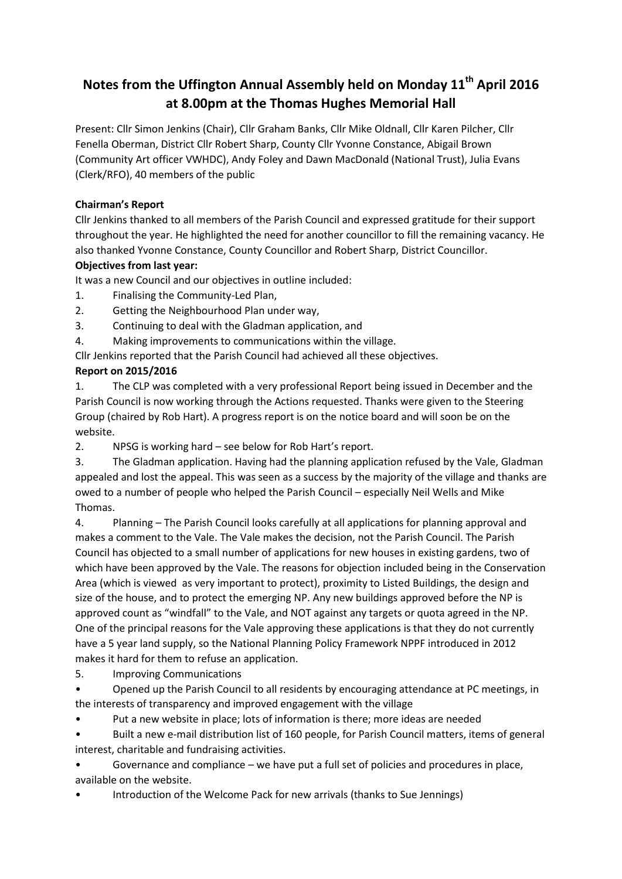# **Notes from the Uffington Annual Assembly held on Monday 11th April 2016 at 8.00pm at the Thomas Hughes Memorial Hall**

Present: Cllr Simon Jenkins (Chair), Cllr Graham Banks, Cllr Mike Oldnall, Cllr Karen Pilcher, Cllr Fenella Oberman, District Cllr Robert Sharp, County Cllr Yvonne Constance, Abigail Brown (Community Art officer VWHDC), Andy Foley and Dawn MacDonald (National Trust), Julia Evans (Clerk/RFO), 40 members of the public

## **Chairman's Report**

Cllr Jenkins thanked to all members of the Parish Council and expressed gratitude for their support throughout the year. He highlighted the need for another councillor to fill the remaining vacancy. He also thanked Yvonne Constance, County Councillor and Robert Sharp, District Councillor.

# **Objectives from last year:**

It was a new Council and our objectives in outline included:

- 1. Finalising the Community-Led Plan,
- 2. Getting the Neighbourhood Plan under way,
- 3. Continuing to deal with the Gladman application, and
- 4. Making improvements to communications within the village.

Cllr Jenkins reported that the Parish Council had achieved all these objectives.

# **Report on 2015/2016**

1. The CLP was completed with a very professional Report being issued in December and the Parish Council is now working through the Actions requested. Thanks were given to the Steering Group (chaired by Rob Hart). A progress report is on the notice board and will soon be on the website.

2. NPSG is working hard – see below for Rob Hart's report.

3. The Gladman application. Having had the planning application refused by the Vale, Gladman appealed and lost the appeal. This was seen as a success by the majority of the village and thanks are owed to a number of people who helped the Parish Council – especially Neil Wells and Mike Thomas.

4. Planning – The Parish Council looks carefully at all applications for planning approval and makes a comment to the Vale. The Vale makes the decision, not the Parish Council. The Parish Council has objected to a small number of applications for new houses in existing gardens, two of which have been approved by the Vale. The reasons for objection included being in the Conservation Area (which is viewed as very important to protect), proximity to Listed Buildings, the design and size of the house, and to protect the emerging NP. Any new buildings approved before the NP is approved count as "windfall" to the Vale, and NOT against any targets or quota agreed in the NP. One of the principal reasons for the Vale approving these applications is that they do not currently have a 5 year land supply, so the National Planning Policy Framework NPPF introduced in 2012 makes it hard for them to refuse an application.

5. Improving Communications

• Opened up the Parish Council to all residents by encouraging attendance at PC meetings, in the interests of transparency and improved engagement with the village

• Put a new website in place; lots of information is there; more ideas are needed

• Built a new e-mail distribution list of 160 people, for Parish Council matters, items of general interest, charitable and fundraising activities.

• Governance and compliance – we have put a full set of policies and procedures in place, available on the website.

• Introduction of the Welcome Pack for new arrivals (thanks to Sue Jennings)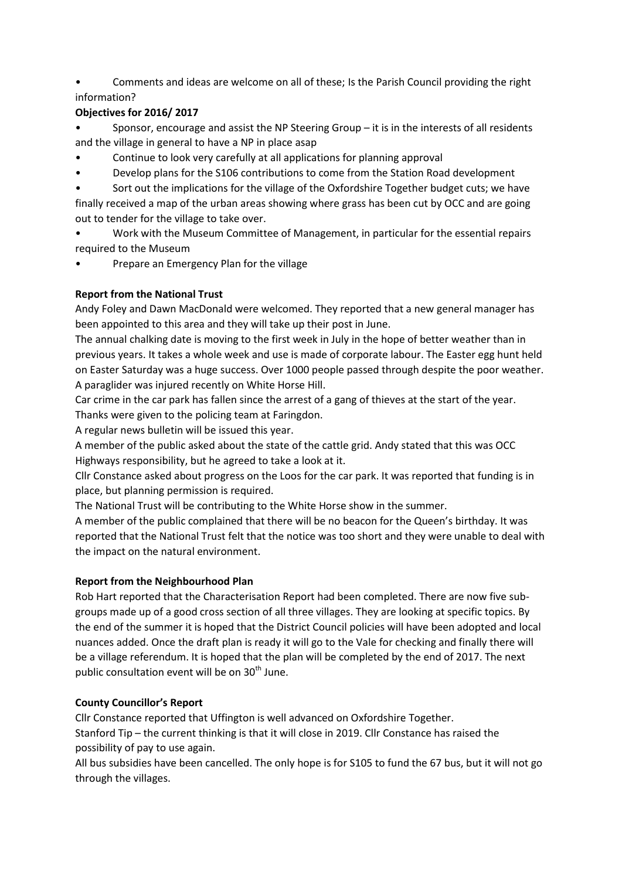• Comments and ideas are welcome on all of these; Is the Parish Council providing the right information?

## **Objectives for 2016/ 2017**

• Sponsor, encourage and assist the NP Steering Group – it is in the interests of all residents and the village in general to have a NP in place asap

- Continue to look very carefully at all applications for planning approval
- Develop plans for the S106 contributions to come from the Station Road development

Sort out the implications for the village of the Oxfordshire Together budget cuts; we have finally received a map of the urban areas showing where grass has been cut by OCC and are going out to tender for the village to take over.

- Work with the Museum Committee of Management, in particular for the essential repairs required to the Museum
- Prepare an Emergency Plan for the village

## **Report from the National Trust**

Andy Foley and Dawn MacDonald were welcomed. They reported that a new general manager has been appointed to this area and they will take up their post in June.

The annual chalking date is moving to the first week in July in the hope of better weather than in previous years. It takes a whole week and use is made of corporate labour. The Easter egg hunt held on Easter Saturday was a huge success. Over 1000 people passed through despite the poor weather. A paraglider was injured recently on White Horse Hill.

Car crime in the car park has fallen since the arrest of a gang of thieves at the start of the year. Thanks were given to the policing team at Faringdon.

A regular news bulletin will be issued this year.

A member of the public asked about the state of the cattle grid. Andy stated that this was OCC Highways responsibility, but he agreed to take a look at it.

Cllr Constance asked about progress on the Loos for the car park. It was reported that funding is in place, but planning permission is required.

The National Trust will be contributing to the White Horse show in the summer.

A member of the public complained that there will be no beacon for the Queen's birthday. It was reported that the National Trust felt that the notice was too short and they were unable to deal with the impact on the natural environment.

## **Report from the Neighbourhood Plan**

Rob Hart reported that the Characterisation Report had been completed. There are now five subgroups made up of a good cross section of all three villages. They are looking at specific topics. By the end of the summer it is hoped that the District Council policies will have been adopted and local nuances added. Once the draft plan is ready it will go to the Vale for checking and finally there will be a village referendum. It is hoped that the plan will be completed by the end of 2017. The next public consultation event will be on  $30<sup>th</sup>$  June.

## **County Councillor's Report**

Cllr Constance reported that Uffington is well advanced on Oxfordshire Together. Stanford Tip – the current thinking is that it will close in 2019. Cllr Constance has raised the possibility of pay to use again.

All bus subsidies have been cancelled. The only hope is for S105 to fund the 67 bus, but it will not go through the villages.